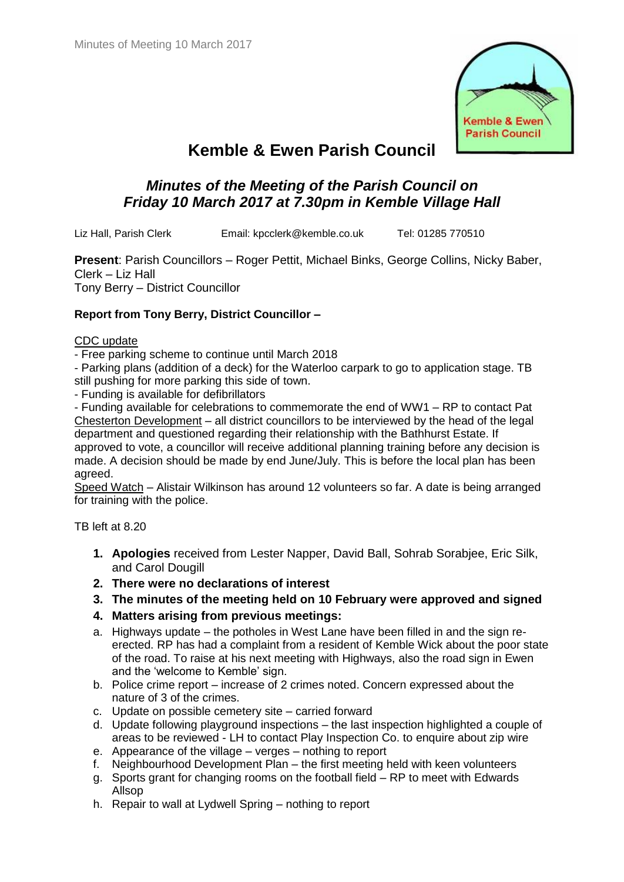

# **Kemble & Ewen Parish Council**

## *Minutes of the Meeting of the Parish Council on Friday 10 March 2017 at 7.30pm in Kemble Village Hall*

Liz Hall, Parish Clerk Email: kpcclerk@kemble.co.uk Tel: 01285 770510

**Present**: Parish Councillors – Roger Pettit, Michael Binks, George Collins, Nicky Baber, Clerk – Liz Hall Tony Berry – District Councillor

## **Report from Tony Berry, District Councillor –**

## CDC update

- Free parking scheme to continue until March 2018

- Parking plans (addition of a deck) for the Waterloo carpark to go to application stage. TB still pushing for more parking this side of town.

- Funding is available for defibrillators

- Funding available for celebrations to commemorate the end of WW1 – RP to contact Pat Chesterton Development – all district councillors to be interviewed by the head of the legal department and questioned regarding their relationship with the Bathhurst Estate. If approved to vote, a councillor will receive additional planning training before any decision is made. A decision should be made by end June/July. This is before the local plan has been agreed.

Speed Watch – Alistair Wilkinson has around 12 volunteers so far. A date is being arranged for training with the police.

TB left at 8.20

- **1. Apologies** received from Lester Napper, David Ball, Sohrab Sorabjee, Eric Silk, and Carol Dougill
- **2. There were no declarations of interest**
- **3. The minutes of the meeting held on 10 February were approved and signed**
- **4. Matters arising from previous meetings:**
- a. Highways update the potholes in West Lane have been filled in and the sign reerected. RP has had a complaint from a resident of Kemble Wick about the poor state of the road. To raise at his next meeting with Highways, also the road sign in Ewen and the 'welcome to Kemble' sign.
- b. Police crime report increase of 2 crimes noted. Concern expressed about the nature of 3 of the crimes.
- c. Update on possible cemetery site carried forward
- d. Update following playground inspections the last inspection highlighted a couple of areas to be reviewed - LH to contact Play Inspection Co. to enquire about zip wire
- e. Appearance of the village verges nothing to report
- f. Neighbourhood Development Plan the first meeting held with keen volunteers
- g. Sports grant for changing rooms on the football field RP to meet with Edwards Allsop
- h. Repair to wall at Lydwell Spring nothing to report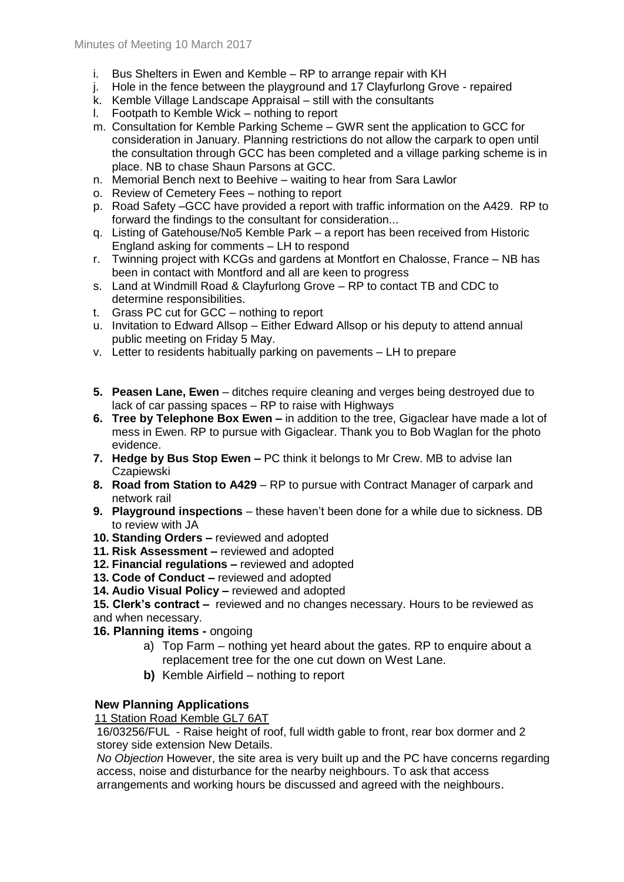- i. Bus Shelters in Ewen and Kemble RP to arrange repair with KH
- j. Hole in the fence between the playground and 17 Clayfurlong Grove repaired
- k. Kemble Village Landscape Appraisal still with the consultants
- l. Footpath to Kemble Wick nothing to report
- m. Consultation for Kemble Parking Scheme GWR sent the application to GCC for consideration in January. Planning restrictions do not allow the carpark to open until the consultation through GCC has been completed and a village parking scheme is in place. NB to chase Shaun Parsons at GCC.
- n. Memorial Bench next to Beehive waiting to hear from Sara Lawlor
- o. Review of Cemetery Fees nothing to report
- p. Road Safety –GCC have provided a report with traffic information on the A429. RP to forward the findings to the consultant for consideration...
- q. Listing of Gatehouse/No5 Kemble Park a report has been received from Historic England asking for comments – LH to respond
- r. Twinning project with KCGs and gardens at Montfort en Chalosse, France NB has been in contact with Montford and all are keen to progress
- s. Land at Windmill Road & Clayfurlong Grove RP to contact TB and CDC to determine responsibilities.
- t. Grass PC cut for GCC nothing to report
- u. Invitation to Edward Allsop Either Edward Allsop or his deputy to attend annual public meeting on Friday 5 May.
- v. Letter to residents habitually parking on pavements LH to prepare
- **5. Peasen Lane, Ewen** ditches require cleaning and verges being destroyed due to lack of car passing spaces – RP to raise with Highways
- **6. Tree by Telephone Box Ewen –** in addition to the tree, Gigaclear have made a lot of mess in Ewen. RP to pursue with Gigaclear. Thank you to Bob Waglan for the photo evidence.
- **7. Hedge by Bus Stop Ewen –** PC think it belongs to Mr Crew. MB to advise Ian **Czapiewski**
- **8. Road from Station to A429** RP to pursue with Contract Manager of carpark and network rail
- **9. Playground inspections** these haven't been done for a while due to sickness. DB to review with JA
- **10. Standing Orders –** reviewed and adopted
- **11. Risk Assessment –** reviewed and adopted
- **12. Financial regulations –** reviewed and adopted
- **13. Code of Conduct –** reviewed and adopted
- **14. Audio Visual Policy –** reviewed and adopted

**15. Clerk's contract –** reviewed and no changes necessary. Hours to be reviewed as and when necessary.

- **16. Planning items -** ongoing
	- a) Top Farm nothing yet heard about the gates. RP to enquire about a replacement tree for the one cut down on West Lane.
	- **b)** Kemble Airfield nothing to report

## **New Planning Applications**

11 Station Road Kemble GL7 6AT

16/03256/FUL - [Raise height of roof, full width gable to front, rear box dormer and 2](http://publicaccess.cotswold.gov.uk/online-applications/applicationDetails.do?activeTab=summary&keyVal=OBNGIBFIH3H00&prevPage=inTray)  [storey side extension N](http://publicaccess.cotswold.gov.uk/online-applications/applicationDetails.do?activeTab=summary&keyVal=OBNGIBFIH3H00&prevPage=inTray)ew Details.

*No Objection* However, the site area is very built up and the PC have concerns regarding access, noise and disturbance for the nearby neighbours. To ask that access arrangements and working hours be discussed and agreed with the neighbours.